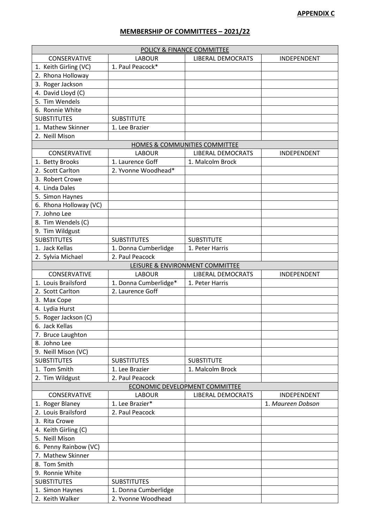## **MEMBERSHIP OF COMMITTEES – 2021/22**

| POLICY & FINANCE COMMITTEE                      |                       |                                 |                   |  |  |  |
|-------------------------------------------------|-----------------------|---------------------------------|-------------------|--|--|--|
| <b>CONSERVATIVE</b>                             | <b>LABOUR</b>         | <b>LIBERAL DEMOCRATS</b>        | INDEPENDENT       |  |  |  |
| 1. Keith Girling (VC)                           | 1. Paul Peacock*      |                                 |                   |  |  |  |
| 2. Rhona Holloway                               |                       |                                 |                   |  |  |  |
| 3. Roger Jackson                                |                       |                                 |                   |  |  |  |
| 4. David Lloyd (C)                              |                       |                                 |                   |  |  |  |
| 5. Tim Wendels                                  |                       |                                 |                   |  |  |  |
| 6. Ronnie White                                 |                       |                                 |                   |  |  |  |
| <b>SUBSTITUTES</b>                              | <b>SUBSTITUTE</b>     |                                 |                   |  |  |  |
| 1. Mathew Skinner                               | 1. Lee Brazier        |                                 |                   |  |  |  |
|                                                 |                       |                                 |                   |  |  |  |
| 2. Neill Mison<br>HOMES & COMMUNITIES COMMITTEE |                       |                                 |                   |  |  |  |
| CONSERVATIVE                                    | <b>LABOUR</b>         | <b>LIBERAL DEMOCRATS</b>        | INDEPENDENT       |  |  |  |
|                                                 |                       |                                 |                   |  |  |  |
| 1. Betty Brooks                                 | 1. Laurence Goff      | 1. Malcolm Brock                |                   |  |  |  |
| 2. Scott Carlton                                | 2. Yvonne Woodhead*   |                                 |                   |  |  |  |
| 3. Robert Crowe                                 |                       |                                 |                   |  |  |  |
| 4. Linda Dales                                  |                       |                                 |                   |  |  |  |
| 5. Simon Haynes                                 |                       |                                 |                   |  |  |  |
| 6. Rhona Holloway (VC)                          |                       |                                 |                   |  |  |  |
| 7. Johno Lee                                    |                       |                                 |                   |  |  |  |
| 8. Tim Wendels (C)                              |                       |                                 |                   |  |  |  |
| 9. Tim Wildgust                                 |                       |                                 |                   |  |  |  |
| <b>SUBSTITUTES</b>                              | <b>SUBSTITUTES</b>    | <b>SUBSTITUTE</b>               |                   |  |  |  |
| 1. Jack Kellas                                  | 1. Donna Cumberlidge  | 1. Peter Harris                 |                   |  |  |  |
| 2. Sylvia Michael                               | 2. Paul Peacock       |                                 |                   |  |  |  |
|                                                 |                       | LEISURE & ENVIRONMENT COMMITTEE |                   |  |  |  |
| CONSERVATIVE                                    | <b>LABOUR</b>         | <b>LIBERAL DEMOCRATS</b>        | INDEPENDENT       |  |  |  |
| 1. Louis Brailsford                             | 1. Donna Cumberlidge* | 1. Peter Harris                 |                   |  |  |  |
| 2. Scott Carlton                                | 2. Laurence Goff      |                                 |                   |  |  |  |
| 3. Max Cope                                     |                       |                                 |                   |  |  |  |
| 4. Lydia Hurst                                  |                       |                                 |                   |  |  |  |
| 5. Roger Jackson (C)                            |                       |                                 |                   |  |  |  |
| 6. Jack Kellas                                  |                       |                                 |                   |  |  |  |
| 7. Bruce Laughton                               |                       |                                 |                   |  |  |  |
| 8. Johno Lee                                    |                       |                                 |                   |  |  |  |
| 9. Neill Mison (VC)                             |                       |                                 |                   |  |  |  |
| <b>SUBSTITUTES</b>                              | <b>SUBSTITUTES</b>    | <b>SUBSTITUTE</b>               |                   |  |  |  |
| 1. Tom Smith                                    | 1. Lee Brazier        | 1. Malcolm Brock                |                   |  |  |  |
| 2. Tim Wildgust                                 | 2. Paul Peacock       |                                 |                   |  |  |  |
| <b>ECONOMIC DEVELOPMENT COMMITTEE</b>           |                       |                                 |                   |  |  |  |
| CONSERVATIVE                                    | <b>LABOUR</b>         | <b>LIBERAL DEMOCRATS</b>        | INDEPENDENT       |  |  |  |
| 1. Roger Blaney                                 | 1. Lee Brazier*       |                                 | 1. Maureen Dobson |  |  |  |
| 2. Louis Brailsford                             | 2. Paul Peacock       |                                 |                   |  |  |  |
|                                                 |                       |                                 |                   |  |  |  |
| 3. Rita Crowe                                   |                       |                                 |                   |  |  |  |
| 4. Keith Girling (C)                            |                       |                                 |                   |  |  |  |
| 5. Neill Mison                                  |                       |                                 |                   |  |  |  |
| 6. Penny Rainbow (VC)                           |                       |                                 |                   |  |  |  |
| 7. Mathew Skinner                               |                       |                                 |                   |  |  |  |
| 8. Tom Smith                                    |                       |                                 |                   |  |  |  |
| 9. Ronnie White                                 |                       |                                 |                   |  |  |  |
| <b>SUBSTITUTES</b>                              | <b>SUBSTITUTES</b>    |                                 |                   |  |  |  |
| 1. Simon Haynes                                 | 1. Donna Cumberlidge  |                                 |                   |  |  |  |
| 2. Keith Walker                                 | 2. Yvonne Woodhead    |                                 |                   |  |  |  |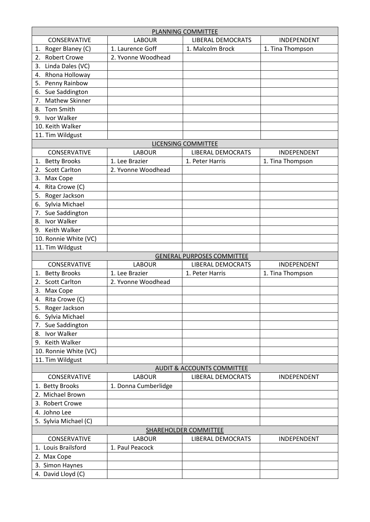| PLANNING COMMITTEE                    |                      |                                   |                  |  |  |  |
|---------------------------------------|----------------------|-----------------------------------|------------------|--|--|--|
| <b>CONSERVATIVE</b>                   | <b>LABOUR</b>        | <b>LIBERAL DEMOCRATS</b>          | INDEPENDENT      |  |  |  |
| Roger Blaney (C)<br>1.                | 1. Laurence Goff     | 1. Malcolm Brock                  | 1. Tina Thompson |  |  |  |
| <b>Robert Crowe</b><br>2.             | 2. Yvonne Woodhead   |                                   |                  |  |  |  |
| Linda Dales (VC)<br>3.                |                      |                                   |                  |  |  |  |
| Rhona Holloway<br>4.                  |                      |                                   |                  |  |  |  |
| Penny Rainbow<br>5.                   |                      |                                   |                  |  |  |  |
| Sue Saddington<br>6.                  |                      |                                   |                  |  |  |  |
| <b>Mathew Skinner</b><br>7.           |                      |                                   |                  |  |  |  |
| <b>Tom Smith</b><br>8.                |                      |                                   |                  |  |  |  |
| Ivor Walker<br>9.                     |                      |                                   |                  |  |  |  |
| 10. Keith Walker                      |                      |                                   |                  |  |  |  |
| 11. Tim Wildgust                      |                      |                                   |                  |  |  |  |
| LICENSING COMMITTEE                   |                      |                                   |                  |  |  |  |
| <b>CONSERVATIVE</b>                   | <b>LABOUR</b>        | <b>LIBERAL DEMOCRATS</b>          | INDEPENDENT      |  |  |  |
| <b>Betty Brooks</b><br>1.             | 1. Lee Brazier       | 1. Peter Harris                   | 1. Tina Thompson |  |  |  |
| <b>Scott Carlton</b><br>2.            | 2. Yvonne Woodhead   |                                   |                  |  |  |  |
| Max Cope<br>3.                        |                      |                                   |                  |  |  |  |
| Rita Crowe (C)<br>4.                  |                      |                                   |                  |  |  |  |
| Roger Jackson<br>5.                   |                      |                                   |                  |  |  |  |
| Sylvia Michael<br>6.                  |                      |                                   |                  |  |  |  |
| Sue Saddington<br>7.                  |                      |                                   |                  |  |  |  |
| Ivor Walker<br>8.                     |                      |                                   |                  |  |  |  |
| 9. Keith Walker                       |                      |                                   |                  |  |  |  |
| 10. Ronnie White (VC)                 |                      |                                   |                  |  |  |  |
| 11. Tim Wildgust                      |                      |                                   |                  |  |  |  |
|                                       |                      | <b>GENERAL PURPOSES COMMITTEE</b> |                  |  |  |  |
| CONSERVATIVE                          | <b>LABOUR</b>        | <b>LIBERAL DEMOCRATS</b>          | INDEPENDENT      |  |  |  |
| <b>Betty Brooks</b><br>1.             | 1. Lee Brazier       | 1. Peter Harris                   | 1. Tina Thompson |  |  |  |
| <b>Scott Carlton</b><br>2.            | 2. Yvonne Woodhead   |                                   |                  |  |  |  |
| 3.<br>Max Cope                        |                      |                                   |                  |  |  |  |
| Rita Crowe (C)<br>4.                  |                      |                                   |                  |  |  |  |
| Roger Jackson<br>5.                   |                      |                                   |                  |  |  |  |
| Sylvia Michael<br>6.                  |                      |                                   |                  |  |  |  |
| Sue Saddington<br>7.                  |                      |                                   |                  |  |  |  |
| Ivor Walker<br>8.                     |                      |                                   |                  |  |  |  |
| 9. Keith Walker                       |                      |                                   |                  |  |  |  |
| 10. Ronnie White (VC)                 |                      |                                   |                  |  |  |  |
| 11. Tim Wildgust                      |                      |                                   |                  |  |  |  |
| <b>AUDIT &amp; ACCOUNTS COMMITTEE</b> |                      |                                   |                  |  |  |  |
| <b>CONSERVATIVE</b>                   | <b>LABOUR</b>        | <b>LIBERAL DEMOCRATS</b>          | INDEPENDENT      |  |  |  |
| 1. Betty Brooks                       | 1. Donna Cumberlidge |                                   |                  |  |  |  |
| 2. Michael Brown                      |                      |                                   |                  |  |  |  |
| 3. Robert Crowe                       |                      |                                   |                  |  |  |  |
| 4. Johno Lee                          |                      |                                   |                  |  |  |  |
|                                       |                      |                                   |                  |  |  |  |
| 5. Sylvia Michael (C)                 |                      |                                   |                  |  |  |  |
| CONSERVATIVE                          |                      | SHAREHOLDER COMMITTEE             |                  |  |  |  |
|                                       | <b>LABOUR</b>        | <b>LIBERAL DEMOCRATS</b>          | INDEPENDENT      |  |  |  |
| 1. Louis Brailsford                   | 1. Paul Peacock      |                                   |                  |  |  |  |
| 2. Max Cope                           |                      |                                   |                  |  |  |  |
| 3. Simon Haynes                       |                      |                                   |                  |  |  |  |
| 4. David Lloyd (C)                    |                      |                                   |                  |  |  |  |